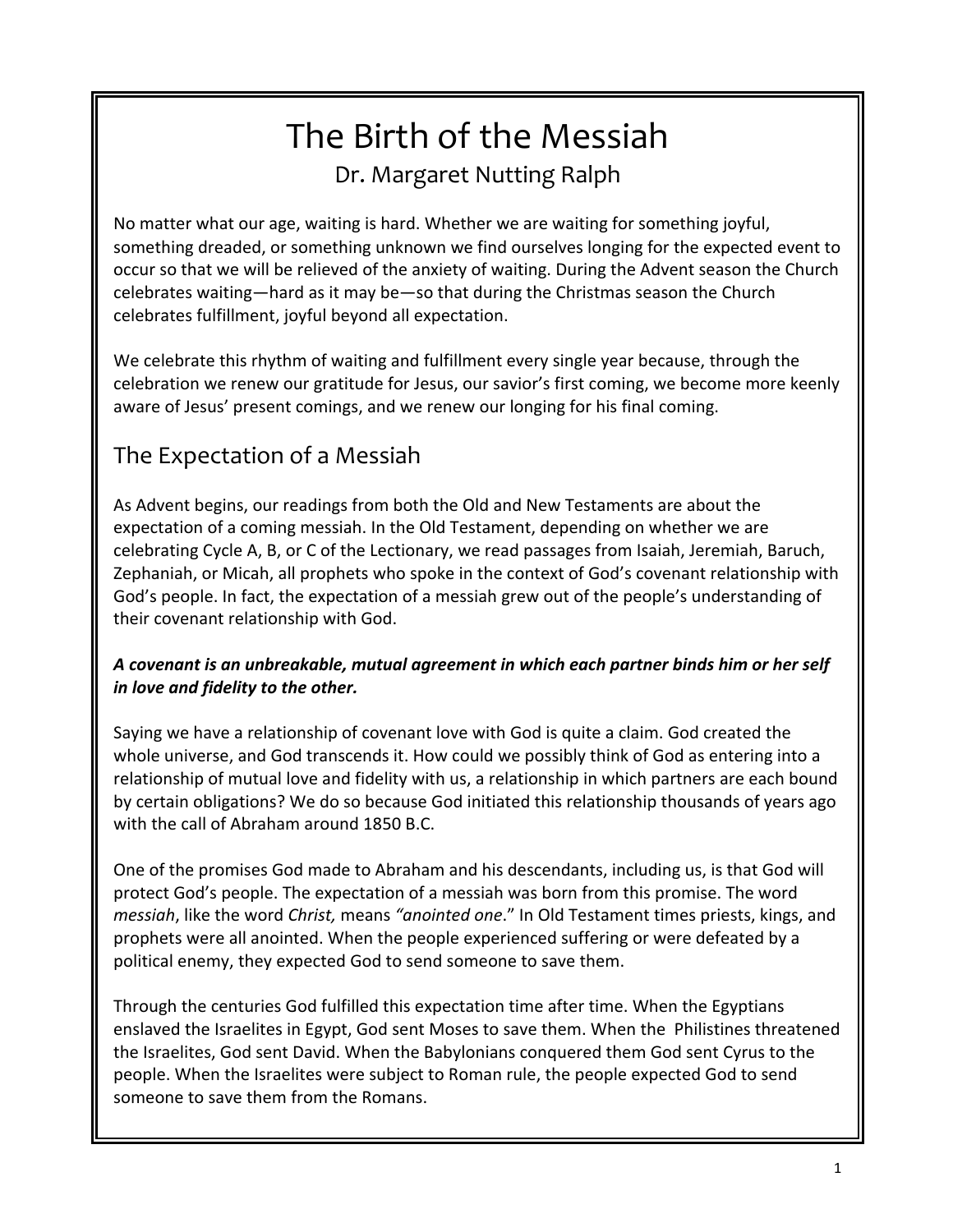# The Birth of the Messiah Dr. Margaret Nutting Ralph

No matter what our age, waiting is hard. Whether we are waiting for something joyful, something dreaded, or something unknown we find ourselves longing for the expected event to occur so that we will be relieved of the anxiety of waiting. During the Advent season the Church celebrates waiting—hard as it may be—so that during the Christmas season the Church celebrates fulfillment, joyful beyond all expectation.

We celebrate this rhythm of waiting and fulfillment every single year because, through the celebration we renew our gratitude for Jesus, our savior's first coming, we become more keenly aware of Jesus' present comings, and we renew our longing for his final coming.

# The Expectation of a Messiah

As Advent begins, our readings from both the Old and New Testaments are about the expectation of a coming messiah. In the Old Testament, depending on whether we are celebrating Cycle A, B, or C of the Lectionary, we read passages from Isaiah, Jeremiah, Baruch, Zephaniah, or Micah, all prophets who spoke in the context of God's covenant relationship with God's people. In fact, the expectation of a messiah grew out of the people's understanding of their covenant relationship with God.

#### *A covenant is an unbreakable, mutual agreement in which each partner binds him or her self in love and fidelity to the other.*

Saying we have a relationship of covenant love with God is quite a claim. God created the whole universe, and God transcends it. How could we possibly think of God as entering into a relationship of mutual love and fidelity with us, a relationship in which partners are each bound by certain obligations? We do so because God initiated this relationship thousands of years ago with the call of Abraham around 1850 B.C.

One of the promises God made to Abraham and his descendants, including us, is that God will protect God's people. The expectation of a messiah was born from this promise. The word *messiah*, like the word *Christ,* means *"anointed one*." In Old Testament times priests, kings, and prophets were all anointed. When the people experienced suffering or were defeated by a political enemy, they expected God to send someone to save them.

Through the centuries God fulfilled this expectation time after time. When the Egyptians enslaved the Israelites in Egypt, God sent Moses to save them. When the Philistines threatened the Israelites, God sent David. When the Babylonians conquered them God sent Cyrus to the people. When the Israelites were subject to Roman rule, the people expected God to send someone to save them from the Romans.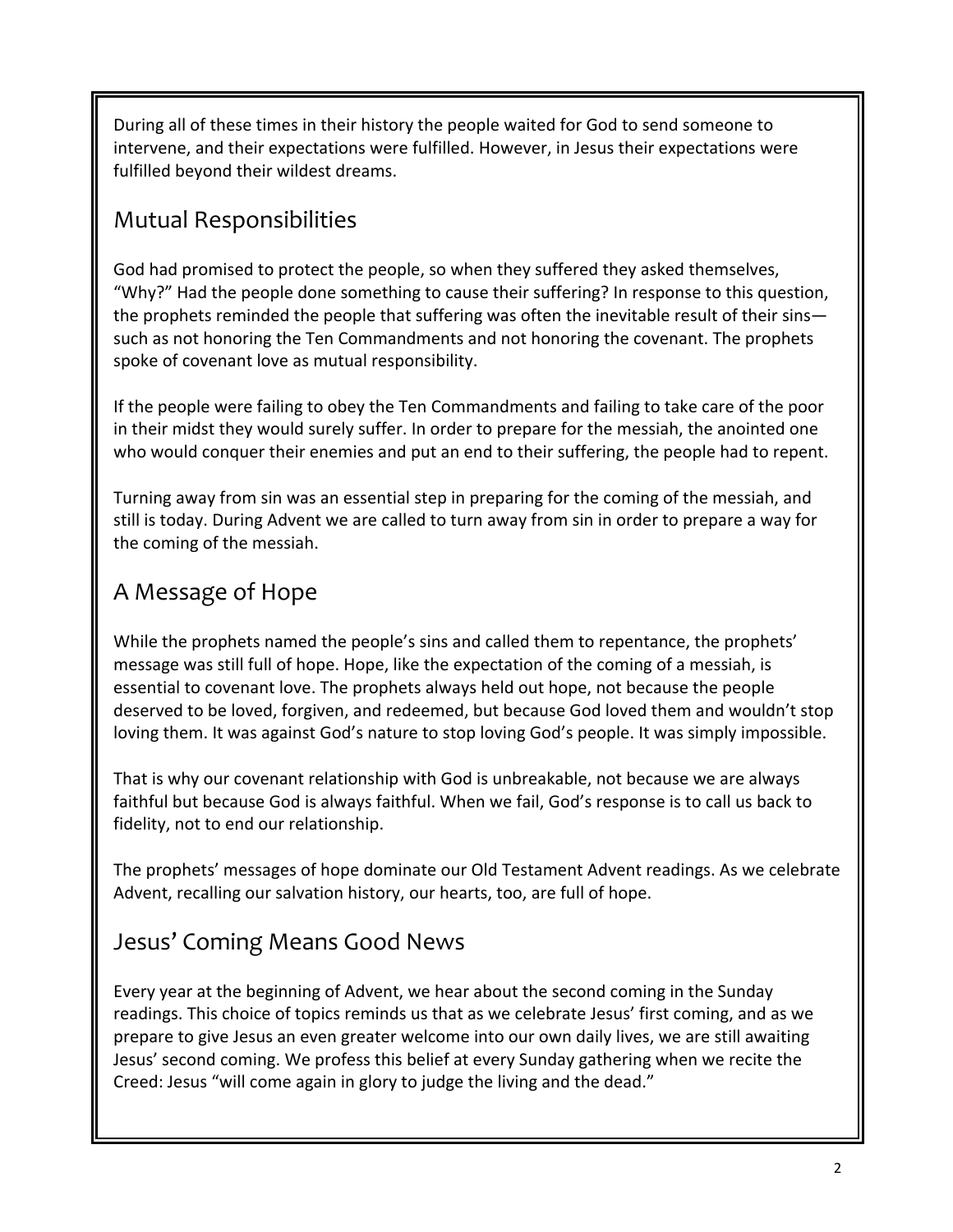During all of these times in their history the people waited for God to send someone to intervene, and their expectations were fulfilled. However, in Jesus their expectations were fulfilled beyond their wildest dreams.

### Mutual Responsibilities

God had promised to protect the people, so when they suffered they asked themselves, "Why?" Had the people done something to cause their suffering? In response to this question, the prophets reminded the people that suffering was often the inevitable result of their sins such as not honoring the Ten Commandments and not honoring the covenant. The prophets spoke of covenant love as mutual responsibility.

If the people were failing to obey the Ten Commandments and failing to take care of the poor in their midst they would surely suffer. In order to prepare for the messiah, the anointed one who would conquer their enemies and put an end to their suffering, the people had to repent.

Turning away from sin was an essential step in preparing for the coming of the messiah, and still is today. During Advent we are called to turn away from sin in order to prepare a way for the coming of the messiah.

# A Message of Hope

While the prophets named the people's sins and called them to repentance, the prophets' message was still full of hope. Hope, like the expectation of the coming of a messiah, is essential to covenant love. The prophets always held out hope, not because the people deserved to be loved, forgiven, and redeemed, but because God loved them and wouldn't stop loving them. It was against God's nature to stop loving God's people. It was simply impossible.

That is why our covenant relationship with God is unbreakable, not because we are always faithful but because God is always faithful. When we fail, God's response is to call us back to fidelity, not to end our relationship.

The prophets' messages of hope dominate our Old Testament Advent readings. As we celebrate Advent, recalling our salvation history, our hearts, too, are full of hope.

# Jesus' Coming Means Good News

Every year at the beginning of Advent, we hear about the second coming in the Sunday readings. This choice of topics reminds us that as we celebrate Jesus' first coming, and as we prepare to give Jesus an even greater welcome into our own daily lives, we are still awaiting Jesus' second coming. We profess this belief at every Sunday gathering when we recite the Creed: Jesus "will come again in glory to judge the living and the dead."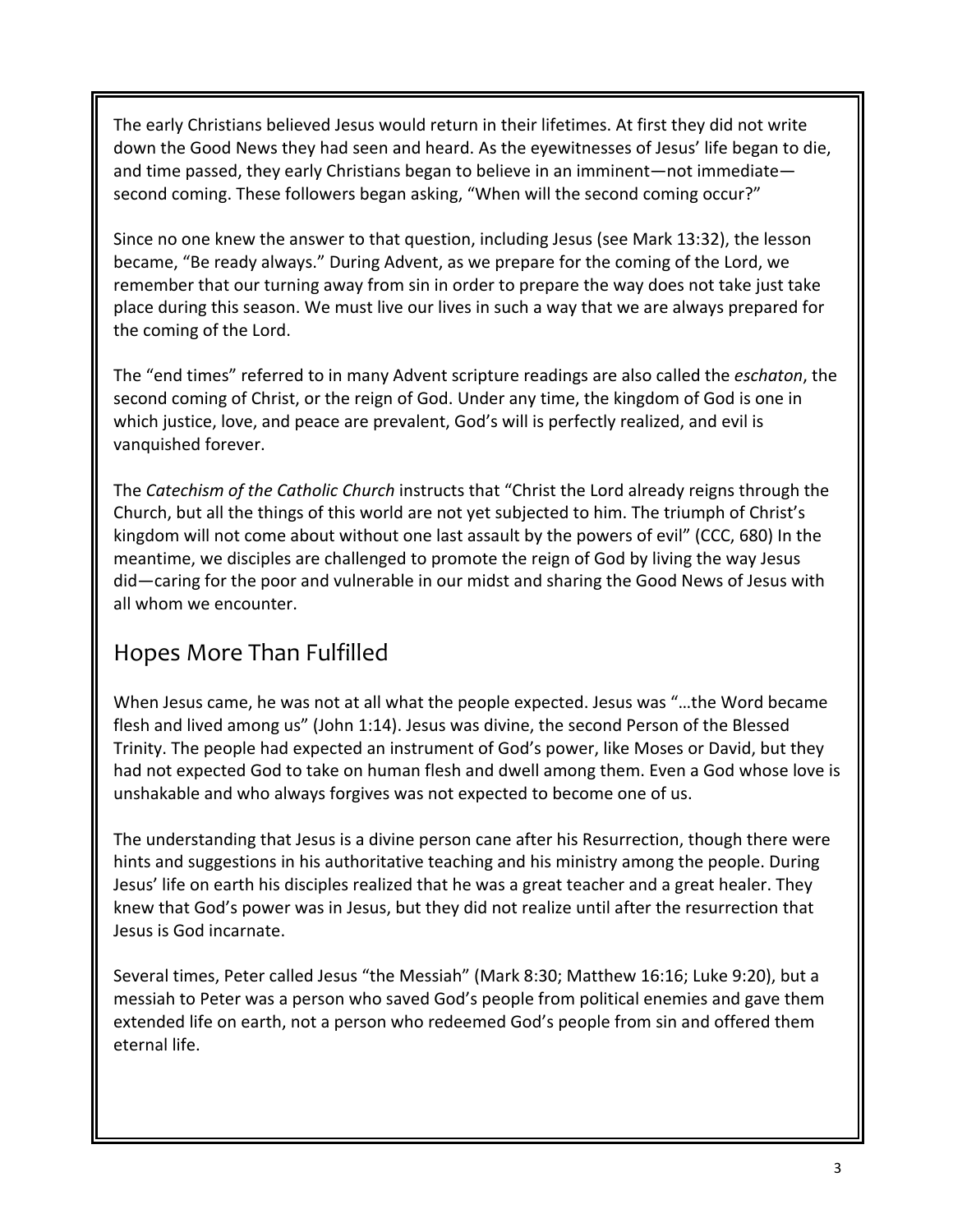The early Christians believed Jesus would return in their lifetimes. At first they did not write down the Good News they had seen and heard. As the eyewitnesses of Jesus' life began to die, and time passed, they early Christians began to believe in an imminent—not immediate second coming. These followers began asking, "When will the second coming occur?"

Since no one knew the answer to that question, including Jesus (see Mark 13:32), the lesson became, "Be ready always." During Advent, as we prepare for the coming of the Lord, we remember that our turning away from sin in order to prepare the way does not take just take place during this season. We must live our lives in such a way that we are always prepared for the coming of the Lord.

The "end times" referred to in many Advent scripture readings are also called the *eschaton*, the second coming of Christ, or the reign of God. Under any time, the kingdom of God is one in which justice, love, and peace are prevalent, God's will is perfectly realized, and evil is vanquished forever.

The *Catechism of the Catholic Church* instructs that "Christ the Lord already reigns through the Church, but all the things of this world are not yet subjected to him. The triumph of Christ's kingdom will not come about without one last assault by the powers of evil" (CCC, 680) In the meantime, we disciples are challenged to promote the reign of God by living the way Jesus did—caring for the poor and vulnerable in our midst and sharing the Good News of Jesus with all whom we encounter.

#### Hopes More Than Fulfilled

When Jesus came, he was not at all what the people expected. Jesus was "…the Word became flesh and lived among us" (John 1:14). Jesus was divine, the second Person of the Blessed Trinity. The people had expected an instrument of God's power, like Moses or David, but they had not expected God to take on human flesh and dwell among them. Even a God whose love is unshakable and who always forgives was not expected to become one of us.

The understanding that Jesus is a divine person cane after his Resurrection, though there were hints and suggestions in his authoritative teaching and his ministry among the people. During Jesus' life on earth his disciples realized that he was a great teacher and a great healer. They knew that God's power was in Jesus, but they did not realize until after the resurrection that Jesus is God incarnate.

Several times, Peter called Jesus "the Messiah" (Mark 8:30; Matthew 16:16; Luke 9:20), but a messiah to Peter was a person who saved God's people from political enemies and gave them extended life on earth, not a person who redeemed God's people from sin and offered them eternal life.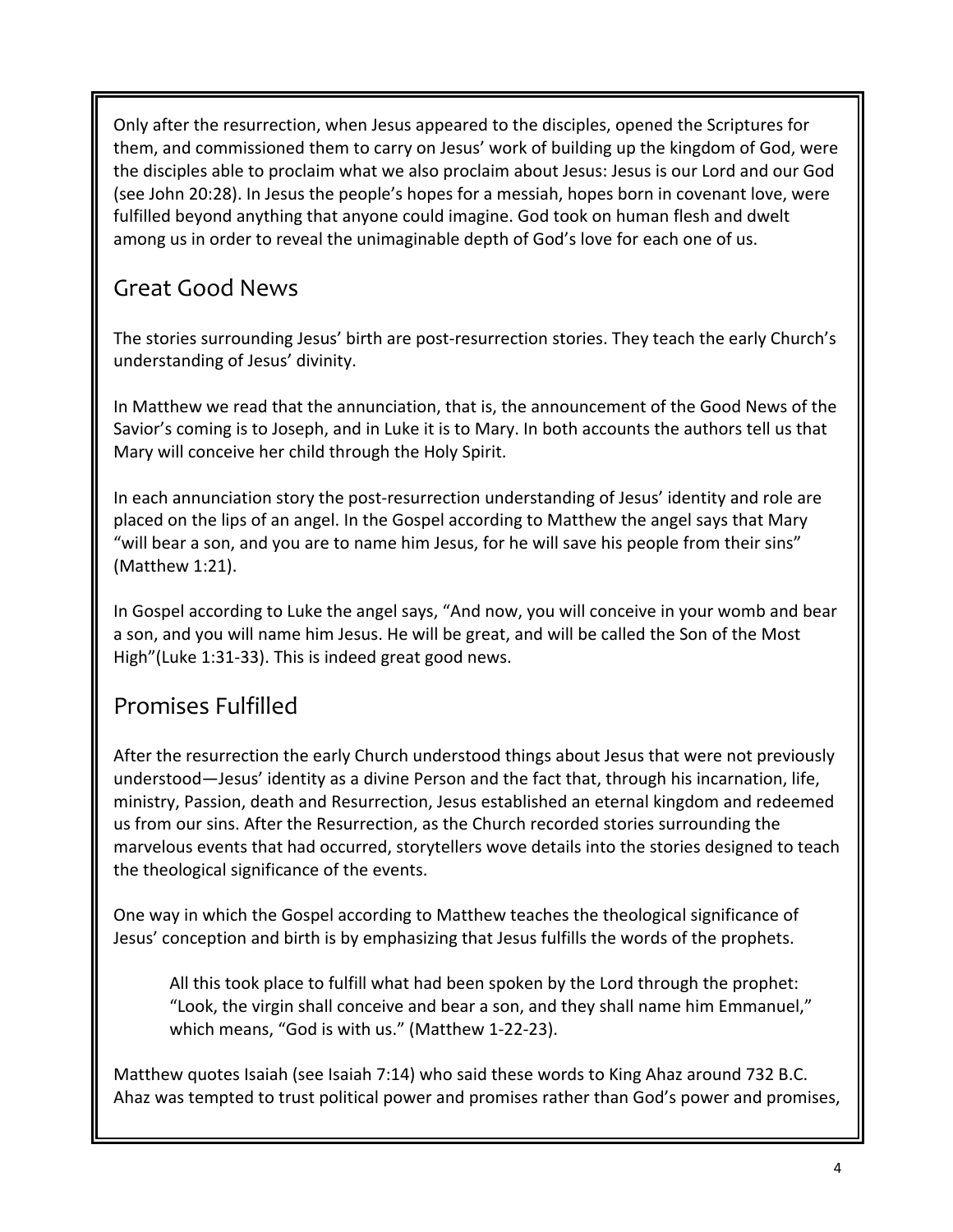Only after the resurrection, when Jesus appeared to the disciples, opened the Scriptures for them, and commissioned them to carry on Jesus' work of building up the kingdom of God, were the disciples able to proclaim what we also proclaim about Jesus: Jesus is our Lord and our God (see John 20:28). In Jesus the people's hopes for a messiah, hopes born in covenant love, were fulfilled beyond anything that anyone could imagine. God took on human flesh and dwelt among us in order to reveal the unimaginable depth of God's love for each one of us.

# Great Good News

The stories surrounding Jesus' birth are post-resurrection stories. They teach the early Church's understanding of Jesus' divinity.

In Matthew we read that the annunciation, that is, the announcement of the Good News of the Savior's coming is to Joseph, and in Luke it is to Mary. In both accounts the authors tell us that Mary will conceive her child through the Holy Spirit.

In each annunciation story the post-resurrection understanding of Jesus' identity and role are placed on the lips of an angel. In the Gospel according to Matthew the angel says that Mary "will bear a son, and you are to name him Jesus, for he will save his people from their sins" (Matthew 1:21).

In Gospel according to Luke the angel says, "And now, you will conceive in your womb and bear a son, and you will name him Jesus. He will be great, and will be called the Son of the Most High"(Luke 1:31-33). This is indeed great good news.

# Promises Fulfilled

After the resurrection the early Church understood things about Jesus that were not previously understood—Jesus' identity as a divine Person and the fact that, through his incarnation, life, ministry, Passion, death and Resurrection, Jesus established an eternal kingdom and redeemed us from our sins. After the Resurrection, as the Church recorded stories surrounding the marvelous events that had occurred, storytellers wove details into the stories designed to teach the theological significance of the events.

One way in which the Gospel according to Matthew teaches the theological significance of Jesus' conception and birth is by emphasizing that Jesus fulfills the words of the prophets.

All this took place to fulfill what had been spoken by the Lord through the prophet: "Look, the virgin shall conceive and bear a son, and they shall name him Emmanuel," which means, "God is with us." (Matthew 1-22-23).

Matthew quotes Isaiah (see Isaiah 7:14) who said these words to King Ahaz around 732 B.C. Ahaz was tempted to trust political power and promises rather than God's power and promises,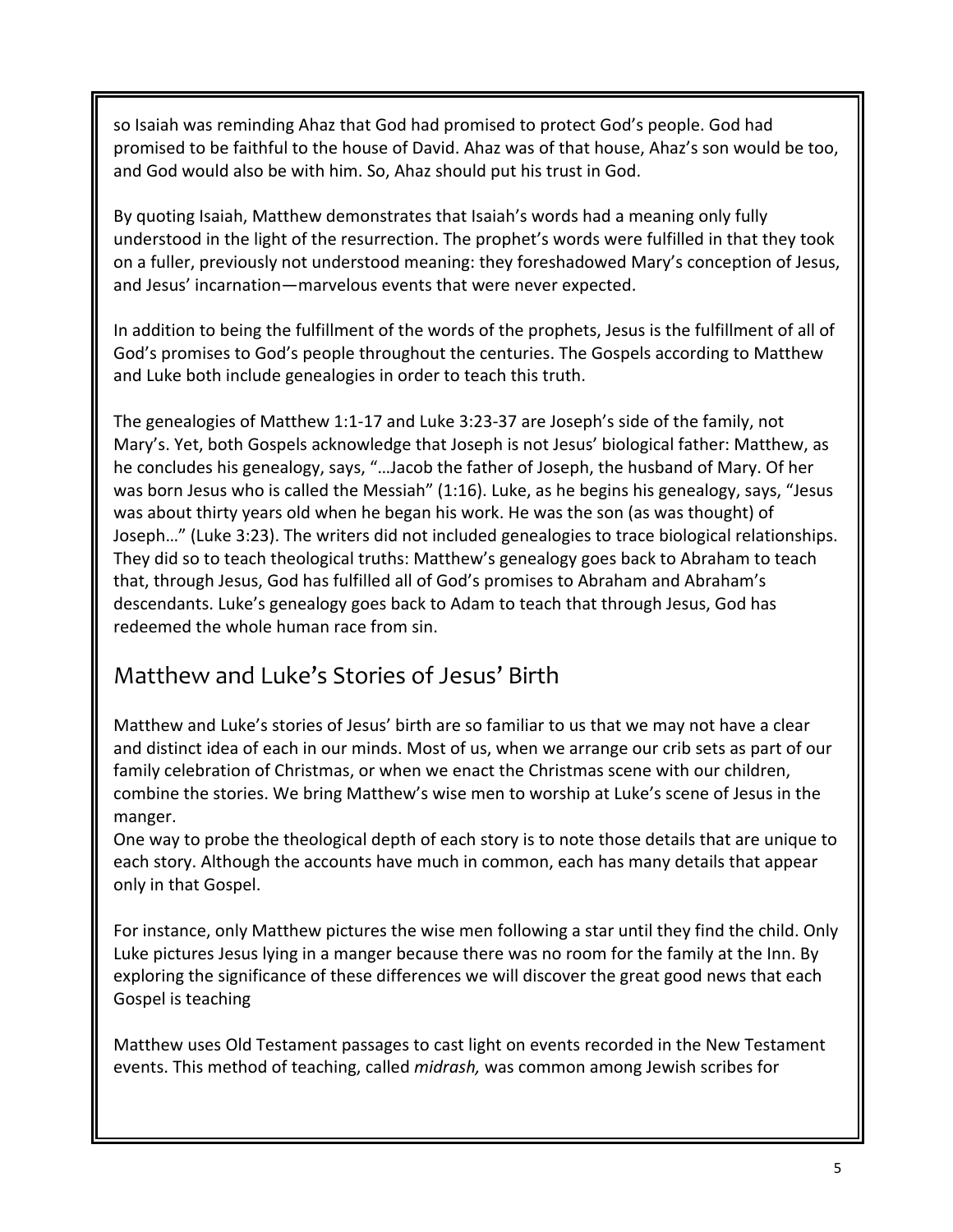so Isaiah was reminding Ahaz that God had promised to protect God's people. God had promised to be faithful to the house of David. Ahaz was of that house, Ahaz's son would be too, and God would also be with him. So, Ahaz should put his trust in God.

By quoting Isaiah, Matthew demonstrates that Isaiah's words had a meaning only fully understood in the light of the resurrection. The prophet's words were fulfilled in that they took on a fuller, previously not understood meaning: they foreshadowed Mary's conception of Jesus, and Jesus' incarnation—marvelous events that were never expected.

In addition to being the fulfillment of the words of the prophets, Jesus is the fulfillment of all of God's promises to God's people throughout the centuries. The Gospels according to Matthew and Luke both include genealogies in order to teach this truth.

The genealogies of Matthew 1:1-17 and Luke 3:23-37 are Joseph's side of the family, not Mary's. Yet, both Gospels acknowledge that Joseph is not Jesus' biological father: Matthew, as he concludes his genealogy, says, "…Jacob the father of Joseph, the husband of Mary. Of her was born Jesus who is called the Messiah" (1:16). Luke, as he begins his genealogy, says, "Jesus was about thirty years old when he began his work. He was the son (as was thought) of Joseph…" (Luke 3:23). The writers did not included genealogies to trace biological relationships. They did so to teach theological truths: Matthew's genealogy goes back to Abraham to teach that, through Jesus, God has fulfilled all of God's promises to Abraham and Abraham's descendants. Luke's genealogy goes back to Adam to teach that through Jesus, God has redeemed the whole human race from sin.

#### Matthew and Luke's Stories of Jesus' Birth

Matthew and Luke's stories of Jesus' birth are so familiar to us that we may not have a clear and distinct idea of each in our minds. Most of us, when we arrange our crib sets as part of our family celebration of Christmas, or when we enact the Christmas scene with our children, combine the stories. We bring Matthew's wise men to worship at Luke's scene of Jesus in the manger.

One way to probe the theological depth of each story is to note those details that are unique to each story. Although the accounts have much in common, each has many details that appear only in that Gospel.

For instance, only Matthew pictures the wise men following a star until they find the child. Only Luke pictures Jesus lying in a manger because there was no room for the family at the Inn. By exploring the significance of these differences we will discover the great good news that each Gospel is teaching

Matthew uses Old Testament passages to cast light on events recorded in the New Testament events. This method of teaching, called *midrash,* was common among Jewish scribes for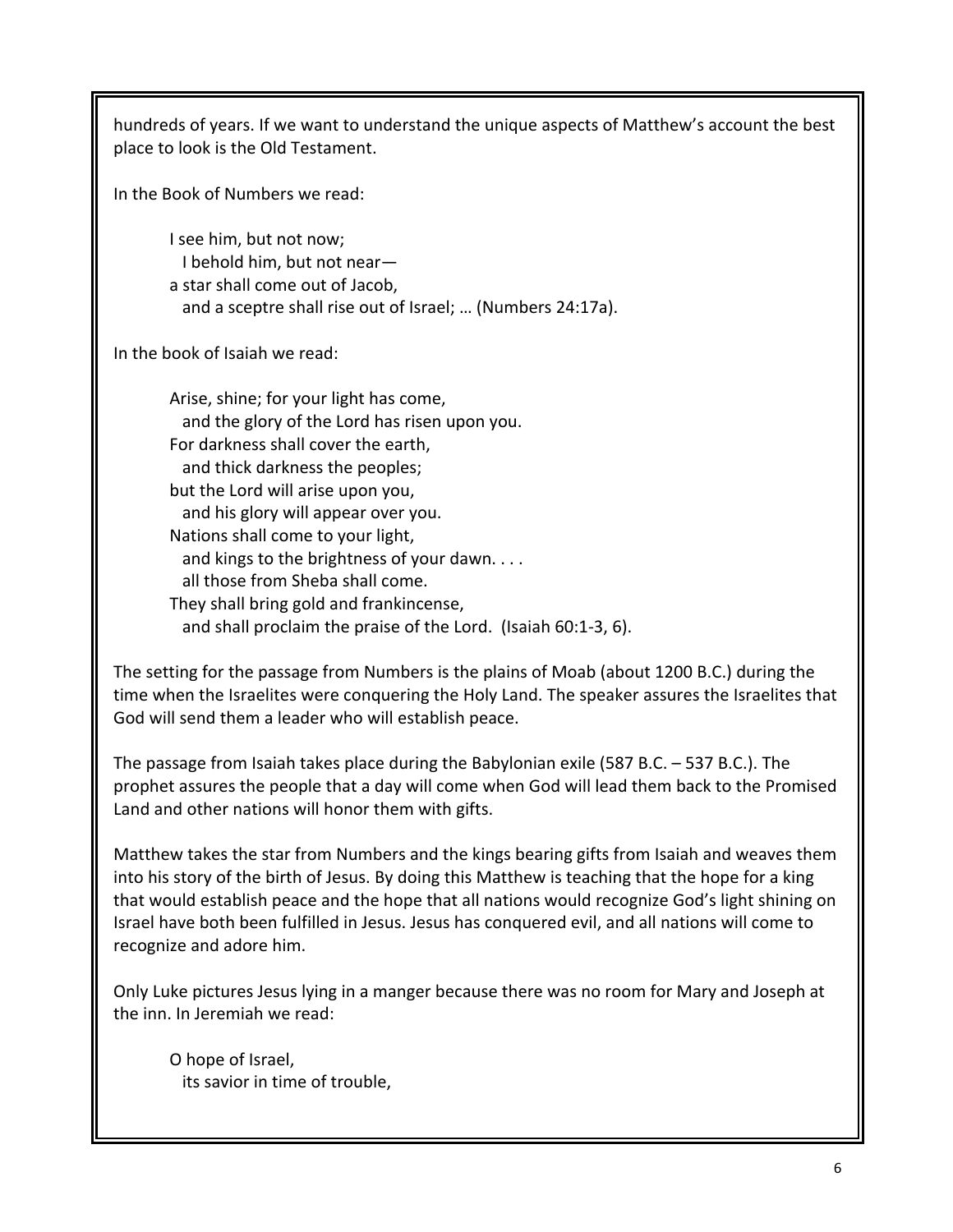hundreds of years. If we want to understand the unique aspects of Matthew's account the best place to look is the Old Testament.

In the Book of Numbers we read:

I see him, but not now; I behold him, but not near a star shall come out of Jacob, and a sceptre shall rise out of Israel; … (Numbers 24:17a).

In the book of Isaiah we read:

Arise, shine; for your light has come, and the glory of the Lord has risen upon you. For darkness shall cover the earth, and thick darkness the peoples; but the Lord will arise upon you, and his glory will appear over you. Nations shall come to your light, and kings to the brightness of your dawn. . . . all those from Sheba shall come. They shall bring gold and frankincense, and shall proclaim the praise of the Lord. (Isaiah 60:1-3, 6).

The setting for the passage from Numbers is the plains of Moab (about 1200 B.C.) during the time when the Israelites were conquering the Holy Land. The speaker assures the Israelites that God will send them a leader who will establish peace.

The passage from Isaiah takes place during the Babylonian exile (587 B.C. – 537 B.C.). The prophet assures the people that a day will come when God will lead them back to the Promised Land and other nations will honor them with gifts.

Matthew takes the star from Numbers and the kings bearing gifts from Isaiah and weaves them into his story of the birth of Jesus. By doing this Matthew is teaching that the hope for a king that would establish peace and the hope that all nations would recognize God's light shining on Israel have both been fulfilled in Jesus. Jesus has conquered evil, and all nations will come to recognize and adore him.

Only Luke pictures Jesus lying in a manger because there was no room for Mary and Joseph at the inn. In Jeremiah we read:

O hope of Israel, its savior in time of trouble,